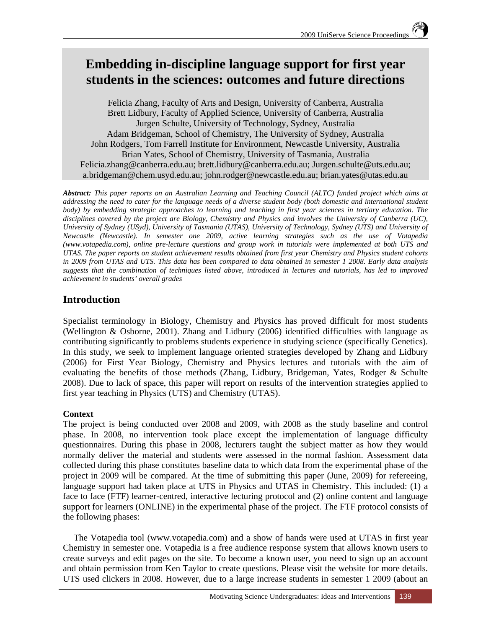# **Embedding in-discipline language support for first year students in the sciences: outcomes and future directions**

Felicia Zhang, Faculty of Arts and Design, University of Canberra, Australia Brett Lidbury, Faculty of Applied Science, University of Canberra, Australia Jurgen Schulte, University of Technology, Sydney, Australia Adam Bridgeman, School of Chemistry, The University of Sydney, Australia John Rodgers, Tom Farrell Institute for Environment, Newcastle University, Australia Brian Yates, School of Chemistry, University of Tasmania, Australia Felicia.zhang@canberra.edu.au; brett.lidbury@canberra.edu.au; Jurgen.schulte@uts.edu.au; a.bridgeman@chem.usyd.edu.au; john.rodger@newcastle.edu.au; brian.yates@utas.edu.au

*Abstract: This paper reports on an Australian Learning and Teaching Council (ALTC) funded project which aims at addressing the need to cater for the language needs of a diverse student body (both domestic and international student body)* by embedding strategic approaches to learning and teaching in first year sciences in tertiary education. The *disciplines covered by the project are Biology, Chemistry and Physics and involves the University of Canberra (UC), University of Sydney (USyd), University of Tasmania (UTAS), University of Technology, Sydney (UTS) and University of Newcastle (Newcastle). In semester one 2009, active learning strategies such as the use of Votapedia (www.votapedia.com), online pre-lecture questions and group work in tutorials were implemented at both UTS and UTAS. The paper reports on student achievement results obtained from first year Chemistry and Physics student cohorts in 2009 from UTAS and UTS. This data has been compared to data obtained in semester 1 2008. Early data analysis suggests that the combination of techniques listed above, introduced in lectures and tutorials, has led to improved achievement in students' overall grades* 

# **Introduction**

Specialist terminology in Biology, Chemistry and Physics has proved difficult for most students (Wellington & Osborne, 2001). Zhang and Lidbury (2006) identified difficulties with language as contributing significantly to problems students experience in studying science (specifically Genetics). In this study, we seek to implement language oriented strategies developed by Zhang and Lidbury (2006) for First Year Biology, Chemistry and Physics lectures and tutorials with the aim of evaluating the benefits of those methods (Zhang, Lidbury, Bridgeman, Yates, Rodger & Schulte 2008). Due to lack of space, this paper will report on results of the intervention strategies applied to first year teaching in Physics (UTS) and Chemistry (UTAS).

# **Context**

The project is being conducted over 2008 and 2009, with 2008 as the study baseline and control phase. In 2008, no intervention took place except the implementation of language difficulty questionnaires. During this phase in 2008, lecturers taught the subject matter as how they would normally deliver the material and students were assessed in the normal fashion. Assessment data collected during this phase constitutes baseline data to which data from the experimental phase of the project in 2009 will be compared. At the time of submitting this paper (June, 2009) for refereeing, language support had taken place at UTS in Physics and UTAS in Chemistry. This included: (1) a face to face (FTF) learner-centred, interactive lecturing protocol and (2) online content and language support for learners (ONLINE) in the experimental phase of the project. The FTF protocol consists of the following phases:

The Votapedia tool (www.votapedia.com) and a show of hands were used at UTAS in first year Chemistry in semester one. Votapedia is a free audience response system that allows known users to create surveys and edit pages on the site. To become a known user, you need to sign up an account and obtain permission from Ken Taylor to create questions. Please visit the website for more details. UTS used clickers in 2008. However, due to a large increase students in semester 1 2009 (about an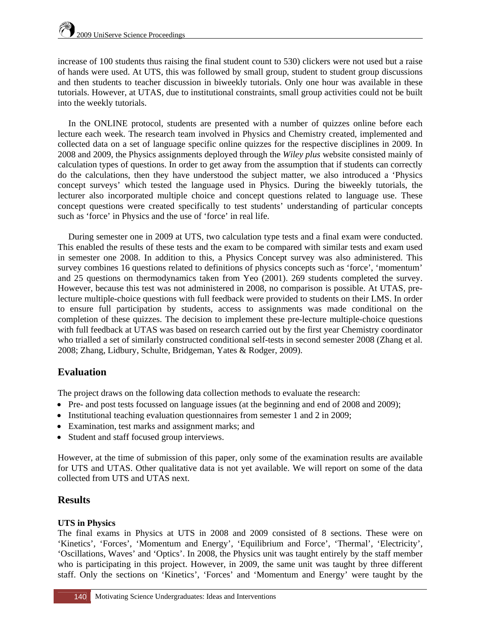increase of 100 students thus raising the final student count to 530) clickers were not used but a raise of hands were used. At UTS, this was followed by small group, student to student group discussions and then students to teacher discussion in biweekly tutorials. Only one hour was available in these tutorials. However, at UTAS, due to institutional constraints, small group activities could not be built into the weekly tutorials.

In the ONLINE protocol, students are presented with a number of quizzes online before each lecture each week. The research team involved in Physics and Chemistry created, implemented and collected data on a set of language specific online quizzes for the respective disciplines in 2009. In 2008 and 2009, the Physics assignments deployed through the *Wiley plus* website consisted mainly of calculation types of questions. In order to get away from the assumption that if students can correctly do the calculations, then they have understood the subject matter, we also introduced a 'Physics concept surveys' which tested the language used in Physics. During the biweekly tutorials, the lecturer also incorporated multiple choice and concept questions related to language use. These concept questions were created specifically to test students' understanding of particular concepts such as 'force' in Physics and the use of 'force' in real life.

During semester one in 2009 at UTS, two calculation type tests and a final exam were conducted. This enabled the results of these tests and the exam to be compared with similar tests and exam used in semester one 2008. In addition to this, a Physics Concept survey was also administered. This survey combines 16 questions related to definitions of physics concepts such as 'force', 'momentum' and 25 questions on thermodynamics taken from Yeo (2001). 269 students completed the survey. However, because this test was not administered in 2008, no comparison is possible. At UTAS, prelecture multiple-choice questions with full feedback were provided to students on their LMS. In order to ensure full participation by students, access to assignments was made conditional on the completion of these quizzes. The decision to implement these pre-lecture multiple-choice questions with full feedback at UTAS was based on research carried out by the first year Chemistry coordinator who trialled a set of similarly constructed conditional self-tests in second semester 2008 (Zhang et al. 2008; Zhang, Lidbury, Schulte, Bridgeman, Yates & Rodger, 2009).

# **Evaluation**

The project draws on the following data collection methods to evaluate the research:

- Pre- and post tests focussed on language issues (at the beginning and end of 2008 and 2009);
- Institutional teaching evaluation questionnaires from semester 1 and 2 in 2009;
- Examination, test marks and assignment marks; and
- Student and staff focused group interviews.

However, at the time of submission of this paper, only some of the examination results are available for UTS and UTAS. Other qualitative data is not yet available. We will report on some of the data collected from UTS and UTAS next.

# **Results**

### **UTS in Physics**

The final exams in Physics at UTS in 2008 and 2009 consisted of 8 sections. These were on 'Kinetics', 'Forces', 'Momentum and Energy', 'Equilibrium and Force', 'Thermal', 'Electricity', 'Oscillations, Waves' and 'Optics'. In 2008, the Physics unit was taught entirely by the staff member who is participating in this project. However, in 2009, the same unit was taught by three different staff. Only the sections on 'Kinetics', 'Forces' and 'Momentum and Energy' were taught by the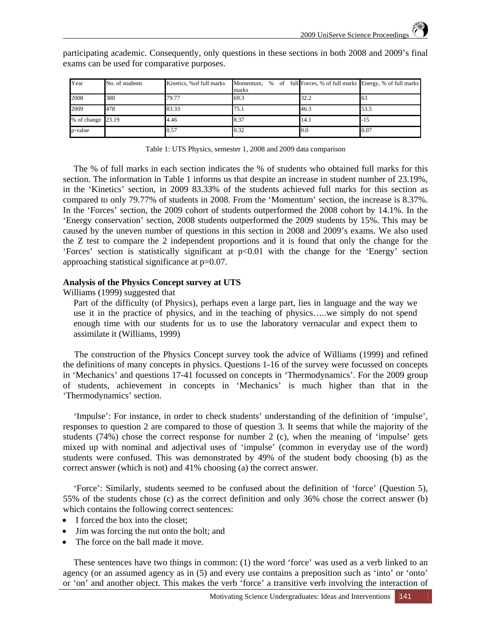| Year              | No. of students | Kinetics, % of full marks | Momentum, % of full Forces, % of full marks Energy, % of full marks<br>marks |      |      |
|-------------------|-----------------|---------------------------|------------------------------------------------------------------------------|------|------|
| 2008              | 388             | 79.77                     | 69.3                                                                         | 32.2 | 63   |
| 2009              | 478             | 83.33                     | 75.1                                                                         | 46.3 | 53.5 |
| % of change 23.19 |                 | 4.46                      | 8.37                                                                         | 14.1 | -15  |
| p-value           |                 | 0.57                      | 0.32                                                                         | 0.0  | 0.07 |

participating academic. Consequently, only questions in these sections in both 2008 and 2009's final exams can be used for comparative purposes.

Table 1: UTS Physics, semester 1, 2008 and 2009 data comparison

The % of full marks in each section indicates the % of students who obtained full marks for this section. The information in Table 1 informs us that despite an increase in student number of 23.19%, in the 'Kinetics' section, in 2009 83.33% of the students achieved full marks for this section as compared to only 79.77% of students in 2008. From the 'Momentum' section, the increase is 8.37%. In the 'Forces' section, the 2009 cohort of students outperformed the 2008 cohort by 14.1%. In the 'Energy conservation' section, 2008 students outperformed the 2009 students by 15%. This may be caused by the uneven number of questions in this section in 2008 and 2009's exams. We also used the Z test to compare the 2 independent proportions and it is found that only the change for the 'Forces' section is statistically significant at p<0.01 with the change for the 'Energy' section approaching statistical significance at p=0.07.

#### **Analysis of the Physics Concept survey at UTS**

Williams (1999) suggested that

Part of the difficulty (of Physics), perhaps even a large part, lies in language and the way we use it in the practice of physics, and in the teaching of physics…..we simply do not spend enough time with our students for us to use the laboratory vernacular and expect them to assimilate it (Williams, 1999)

 The construction of the Physics Concept survey took the advice of Williams (1999) and refined the definitions of many concepts in physics. Questions 1-16 of the survey were focussed on concepts in 'Mechanics' and questions 17-41 focussed on concepts in 'Thermodynamics'. For the 2009 group of students, achievement in concepts in 'Mechanics' is much higher than that in the 'Thermodynamics' section.

 'Impulse': For instance, in order to check students' understanding of the definition of 'impulse', responses to question 2 are compared to those of question 3. It seems that while the majority of the students (74%) chose the correct response for number 2 (c), when the meaning of 'impulse' gets mixed up with nominal and adjectival uses of 'impulse' (common in everyday use of the word) students were confused. This was demonstrated by 49% of the student body choosing (b) as the correct answer (which is not) and 41% choosing (a) the correct answer.

'Force': Similarly, students seemed to be confused about the definition of 'force' (Question 5), 55% of the students chose (c) as the correct definition and only 36% chose the correct answer (b) which contains the following correct sentences:

- I forced the box into the closet;
- Jim was forcing the nut onto the bolt; and
- The force on the ball made it move.

These sentences have two things in common: (1) the word 'force' was used as a verb linked to an agency (or an assumed agency as in (5) and every use contains a preposition such as 'into' or 'onto' or 'on' and another object. This makes the verb 'force' a transitive verb involving the interaction of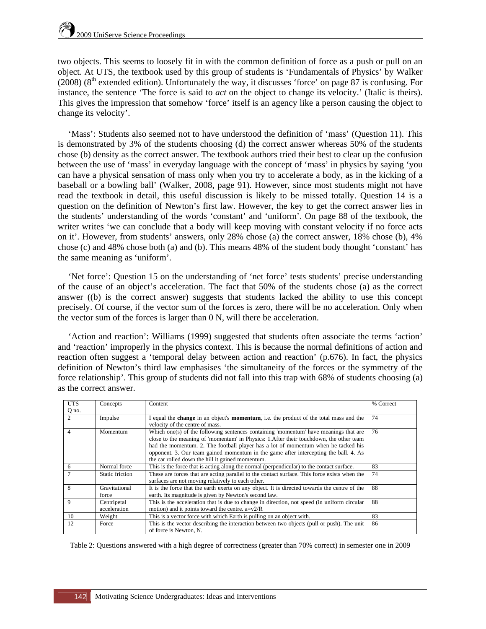two objects. This seems to loosely fit in with the common definition of force as a push or pull on an object. At UTS, the textbook used by this group of students is 'Fundamentals of Physics' by Walker  $(2008)$  ( $8<sup>th</sup>$  extended edition). Unfortunately the way, it discusses 'force' on page 87 is confusing. For instance, the sentence 'The force is said to *act* on the object to change its velocity.' (Italic is theirs). This gives the impression that somehow 'force' itself is an agency like a person causing the object to change its velocity'.

'Mass': Students also seemed not to have understood the definition of 'mass' (Question 11). This is demonstrated by 3% of the students choosing (d) the correct answer whereas 50% of the students chose (b) density as the correct answer. The textbook authors tried their best to clear up the confusion between the use of 'mass' in everyday language with the concept of 'mass' in physics by saying 'you can have a physical sensation of mass only when you try to accelerate a body, as in the kicking of a baseball or a bowling ball' (Walker, 2008, page 91). However, since most students might not have read the textbook in detail, this useful discussion is likely to be missed totally. Question 14 is a question on the definition of Newton's first law. However, the key to get the correct answer lies in the students' understanding of the words 'constant' and 'uniform'. On page 88 of the textbook, the writer writes 'we can conclude that a body will keep moving with constant velocity if no force acts on it'. However, from students' answers, only 28% chose (a) the correct answer, 18% chose (b), 4% chose (c) and 48% chose both (a) and (b). This means 48% of the student body thought 'constant' has the same meaning as 'uniform'.

'Net force': Question 15 on the understanding of 'net force' tests students' precise understanding of the cause of an object's acceleration. The fact that 50% of the students chose (a) as the correct answer ((b) is the correct answer) suggests that students lacked the ability to use this concept precisely. Of course, if the vector sum of the forces is zero, there will be no acceleration. Only when the vector sum of the forces is larger than 0 N, will there be acceleration.

'Action and reaction': Williams (1999) suggested that students often associate the terms 'action' and 'reaction' improperly in the physics context. This is because the normal definitions of action and reaction often suggest a 'temporal delay between action and reaction' (p.676). In fact, the physics definition of Newton's third law emphasises 'the simultaneity of the forces or the symmetry of the force relationship'. This group of students did not fall into this trap with 68% of students choosing (a) as the correct answer.

| <b>UTS</b>     | Concepts        | Content                                                                                               | % Correct |
|----------------|-----------------|-------------------------------------------------------------------------------------------------------|-----------|
| Q no.          |                 |                                                                                                       |           |
| $\mathfrak{D}$ | Impulse         | I equal the <b>change</b> in an object's <b>momentum</b> , i.e. the product of the total mass and the | 74        |
|                |                 | velocity of the centre of mass.                                                                       |           |
| $\overline{4}$ | Momentum        | Which one(s) of the following sentences containing 'momentum' have meanings that are                  | 76        |
|                |                 | close to the meaning of 'momentum' in Physics: 1. After their touchdown, the other team               |           |
|                |                 | had the momentum. 2. The football player has a lot of momentum when he tacked his                     |           |
|                |                 | opponent. 3. Our team gained momentum in the game after intercepting the ball. 4. As                  |           |
|                |                 | the car rolled down the hill it gained momentum.                                                      |           |
| 6              | Normal force    | This is the force that is acting along the normal (perpendicular) to the contact surface.             | 83        |
|                | Static friction | These are forces that are acting parallel to the contact surface. This force exists when the          | 74        |
|                |                 | surfaces are not moving relatively to each other.                                                     |           |
| 8              | Gravitational   | It is the force that the earth exerts on any object. It is directed towards the centre of the         | 88        |
|                | force           | earth. Its magnitude is given by Newton's second law.                                                 |           |
| 9              | Centripetal     | This is the acceleration that is due to change in direction, not speed (in uniform circular           | 88        |
|                | acceleration    | motion) and it points toward the centre. $a=v/2R$                                                     |           |
| 10             | Weight          | This is a vector force with which Earth is pulling on an object with.                                 | 83        |
| 12             | Force           | This is the vector describing the interaction between two objects (pull or push). The unit            | 86        |
|                |                 | of force is Newton, N.                                                                                |           |

Table 2: Questions answered with a high degree of correctness (greater than 70% correct) in semester one in 2009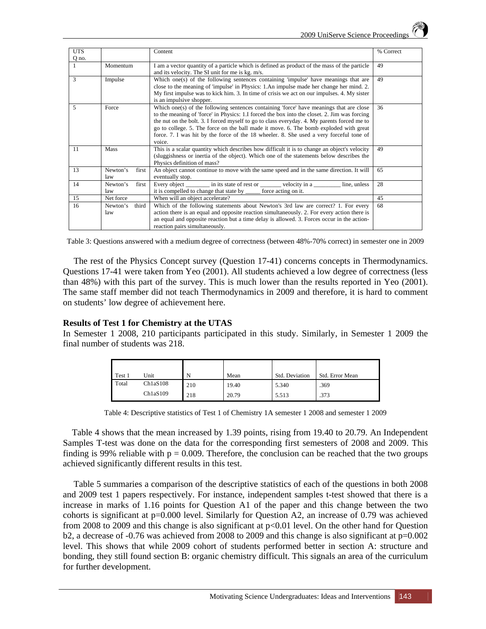| <b>UTS</b> |                          | Content                                                                                                                                                                                                                                                                                                                                                                                                                                                                              | % Correct |
|------------|--------------------------|--------------------------------------------------------------------------------------------------------------------------------------------------------------------------------------------------------------------------------------------------------------------------------------------------------------------------------------------------------------------------------------------------------------------------------------------------------------------------------------|-----------|
| Q no.      |                          |                                                                                                                                                                                                                                                                                                                                                                                                                                                                                      |           |
|            | Momentum                 | I am a vector quantity of a particle which is defined as product of the mass of the particle<br>and its velocity. The SI unit for me is kg. m/s.                                                                                                                                                                                                                                                                                                                                     | 49        |
| 3          | Impulse                  | Which one(s) of the following sentences containing 'impulse' have meanings that are<br>close to the meaning of 'impulse' in Physics: 1.An impulse made her change her mind. 2.<br>My first impulse was to kick him. 3. In time of crisis we act on our impulses. 4. My sister<br>is an impulsive shopper.                                                                                                                                                                            | 49        |
| 5          | Force                    | Which one(s) of the following sentences containing 'force' have meanings that are close<br>to the meaning of 'force' in Physics: 1.I forced the box into the closet. 2. Jim was forcing<br>the nut on the bolt. 3. I forced myself to go to class everyday. 4. My parents forced me to<br>go to college. 5. The force on the ball made it move. 6. The bomb exploded with great<br>force. 7. I was hit by the force of the 18 wheeler. 8. She used a very forceful tone of<br>voice. | 36        |
| 11         | Mass                     | This is a scalar quantity which describes how difficult it is to change an object's velocity<br>(sluggishness or inertia of the object). Which one of the statements below describes the<br>Physics definition of mass?                                                                                                                                                                                                                                                              | 49        |
| 13         | Newton's<br>first<br>law | An object cannot continue to move with the same speed and in the same direction. It will<br>eventually stop.                                                                                                                                                                                                                                                                                                                                                                         | 65        |
| 14         | Newton's<br>first<br>law | Every object __________ in its state of rest or _________ velocity in a<br>line, unless<br>it is compelled to change that state by _______ force acting on it.                                                                                                                                                                                                                                                                                                                       | 28        |
| 15         | Net force                | When will an object accelerate?                                                                                                                                                                                                                                                                                                                                                                                                                                                      | 45        |
| 16         | Newton's<br>third<br>law | Which of the following statements about Newton's 3rd law are correct? 1. For every<br>action there is an equal and opposite reaction simultaneously. 2. For every action there is<br>an equal and opposite reaction but a time delay is allowed. 3. Forces occur in the action-<br>reaction pairs simultaneously.                                                                                                                                                                    | 68        |

Table 3: Questions answered with a medium degree of correctness (between 48%-70% correct) in semester one in 2009

The rest of the Physics Concept survey (Question 17-41) concerns concepts in Thermodynamics. Questions 17-41 were taken from Yeo (2001). All students achieved a low degree of correctness (less than 48%) with this part of the survey. This is much lower than the results reported in Yeo (2001). The same staff member did not teach Thermodynamics in 2009 and therefore, it is hard to comment on students' low degree of achievement here.

#### **Results of Test 1 for Chemistry at the UTAS**

In Semester 1 2008, 210 participants participated in this study. Similarly, in Semester 1 2009 the final number of students was 218.

| Test 1 | Unit     | N   | Mean  | Std. Deviation | Std. Error Mean |
|--------|----------|-----|-------|----------------|-----------------|
| Total  | Ch1aS108 | 210 | 19.40 | 5.340          | .369            |
|        | Ch1aS109 | 218 | 20.79 | 5.513          | .373            |

Table 4: Descriptive statistics of Test 1 of Chemistry 1A semester 1 2008 and semester 1 2009

 Table 4 shows that the mean increased by 1.39 points, rising from 19.40 to 20.79. An Independent Samples T-test was done on the data for the corresponding first semesters of 2008 and 2009. This finding is 99% reliable with  $p = 0.009$ . Therefore, the conclusion can be reached that the two groups achieved significantly different results in this test.

Table 5 summaries a comparison of the descriptive statistics of each of the questions in both 2008 and 2009 test 1 papers respectively. For instance, independent samples t-test showed that there is a increase in marks of 1.16 points for Question A1 of the paper and this change between the two cohorts is significant at p=0.000 level. Similarly for Question A2, an increase of 0.79 was achieved from 2008 to 2009 and this change is also significant at p<0.01 level. On the other hand for Question b2, a decrease of  $-0.76$  was achieved from 2008 to 2009 and this change is also significant at  $p=0.002$ level. This shows that while 2009 cohort of students performed better in section A: structure and bonding, they still found section B: organic chemistry difficult. This signals an area of the curriculum for further development.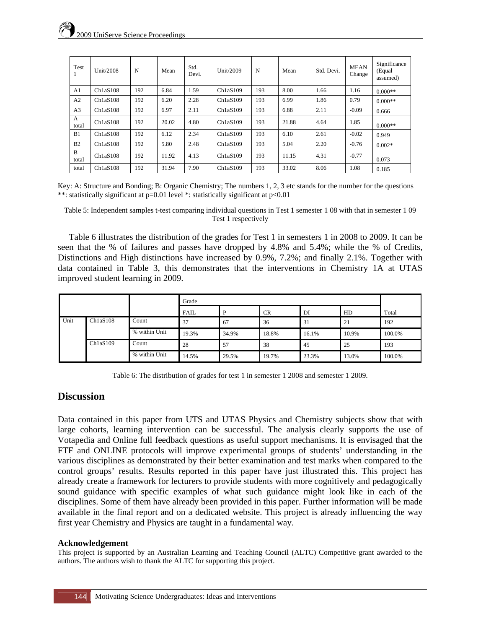| Test           | Unit/2008 | N   | Mean  | Std.<br>Devi. | Unit/2009            | N   | Mean  | Std. Devi. | <b>MEAN</b><br>Change | Significance<br>(Equal<br>assumed) |
|----------------|-----------|-----|-------|---------------|----------------------|-----|-------|------------|-----------------------|------------------------------------|
| A <sub>1</sub> | Ch1aS108  | 192 | 6.84  | 1.59          | Ch <sub>1aS109</sub> | 193 | 8.00  | 1.66       | 1.16                  | $0.000**$                          |
| A2             | Ch1aS108  | 192 | 6.20  | 2.28          | Ch1aS109             | 193 | 6.99  | 1.86       | 0.79                  | $0.000**$                          |
| A <sub>3</sub> | Ch1aS108  | 192 | 6.97  | 2.11          | Ch1aS109             | 193 | 6.88  | 2.11       | $-0.09$               | 0.666                              |
| A<br>total     | Ch1aS108  | 192 | 20.02 | 4.80          | Ch1aS109             | 193 | 21.88 | 4.64       | 1.85                  | $0.000**$                          |
| B1             | Ch1aS108  | 192 | 6.12  | 2.34          | Ch1aS109             | 193 | 6.10  | 2.61       | $-0.02$               | 0.949                              |
| B <sub>2</sub> | Ch1aS108  | 192 | 5.80  | 2.48          | Ch1aS109             | 193 | 5.04  | 2.20       | $-0.76$               | $0.002*$                           |
| B<br>total     | Ch1aS108  | 192 | 11.92 | 4.13          | Ch1aS109             | 193 | 11.15 | 4.31       | $-0.77$               | 0.073                              |
| total          | Ch1aS108  | 192 | 31.94 | 7.90          | Ch1aS109             | 193 | 33.02 | 8.06       | 1.08                  | 0.185                              |

Key: A: Structure and Bonding; B: Organic Chemistry; The numbers 1, 2, 3 etc stands for the number for the questions \*\*: statistically significant at p=0.01 level \*: statistically significant at p<0.01

Table 5: Independent samples t-test comparing individual questions in Test 1 semester 1 08 with that in semester 1 09 Test 1 respectively

 Table 6 illustrates the distribution of the grades for Test 1 in semesters 1 in 2008 to 2009. It can be seen that the % of failures and passes have dropped by 4.8% and 5.4%; while the % of Credits, Distinctions and High distinctions have increased by 0.9%, 7.2%; and finally 2.1%. Together with data contained in Table 3, this demonstrates that the interventions in Chemistry 1A at UTAS improved student learning in 2009.

|                              |  | Grade         |             |       |           |       |       |        |
|------------------------------|--|---------------|-------------|-------|-----------|-------|-------|--------|
|                              |  |               | <b>FAIL</b> | D     | <b>CR</b> | DI    | HD    | Total  |
| Unit<br>Ch1aS108<br>Ch1aS109 |  | Count         | 37          | 67    | 36        | 31    | 21    | 192    |
|                              |  | % within Unit | 19.3%       | 34.9% | 18.8%     | 16.1% | 10.9% | 100.0% |
|                              |  | Count         | 28          | 57    | 38        | 45    | 25    | 193    |
|                              |  | % within Unit | 14.5%       | 29.5% | 19.7%     | 23.3% | 13.0% | 100.0% |

Table 6: The distribution of grades for test 1 in semester 1 2008 and semester 1 2009.

# **Discussion**

Data contained in this paper from UTS and UTAS Physics and Chemistry subjects show that with large cohorts, learning intervention can be successful. The analysis clearly supports the use of Votapedia and Online full feedback questions as useful support mechanisms. It is envisaged that the FTF and ONLINE protocols will improve experimental groups of students' understanding in the various disciplines as demonstrated by their better examination and test marks when compared to the control groups' results. Results reported in this paper have just illustrated this. This project has already create a framework for lecturers to provide students with more cognitively and pedagogically sound guidance with specific examples of what such guidance might look like in each of the disciplines. Some of them have already been provided in this paper. Further information will be made available in the final report and on a dedicated website. This project is already influencing the way first year Chemistry and Physics are taught in a fundamental way.

#### **Acknowledgement**

This project is supported by an Australian Learning and Teaching Council (ALTC) Competitive grant awarded to the authors. The authors wish to thank the ALTC for supporting this project.